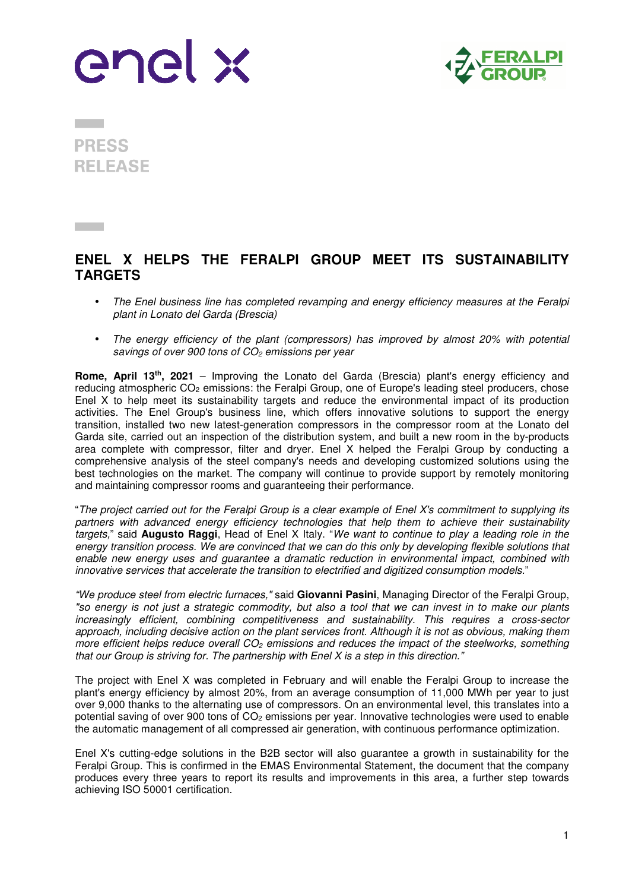



**PRESS RELEASE** 

## **ENEL X HELPS THE FERALPI GROUP MEET ITS SUSTAINABILITY TARGETS**

- The Enel business line has completed revamping and energy efficiency measures at the Feralpi plant in Lonato del Garda (Brescia)
- The energy efficiency of the plant (compressors) has improved by almost 20% with potential savings of over 900 tons of  $CO<sub>2</sub>$  emissions per year

**Rome, April 13th, 2021** – Improving the Lonato del Garda (Brescia) plant's energy efficiency and reducing atmospheric CO2 emissions: the Feralpi Group, one of Europe's leading steel producers, chose Enel X to help meet its sustainability targets and reduce the environmental impact of its production activities. The Enel Group's business line, which offers innovative solutions to support the energy transition, installed two new latest-generation compressors in the compressor room at the Lonato del Garda site, carried out an inspection of the distribution system, and built a new room in the by-products area complete with compressor, filter and dryer. Enel X helped the Feralpi Group by conducting a comprehensive analysis of the steel company's needs and developing customized solutions using the best technologies on the market. The company will continue to provide support by remotely monitoring and maintaining compressor rooms and guaranteeing their performance.

"The project carried out for the Feralpi Group is a clear example of Enel X's commitment to supplying its partners with advanced energy efficiency technologies that help them to achieve their sustainability targets," said **Augusto Raggi**, Head of Enel X Italy. "We want to continue to play a leading role in the energy transition process. We are convinced that we can do this only by developing flexible solutions that enable new energy uses and guarantee a dramatic reduction in environmental impact, combined with innovative services that accelerate the transition to electrified and digitized consumption models."

"We produce steel from electric furnaces," said **Giovanni Pasini**, Managing Director of the Feralpi Group, "so energy is not just a strategic commodity, but also a tool that we can invest in to make our plants increasingly efficient, combining competitiveness and sustainability. This requires a cross-sector approach, including decisive action on the plant services front. Although it is not as obvious, making them more efficient helps reduce overall  $CO<sub>2</sub>$  emissions and reduces the impact of the steelworks, something that our Group is striving for. The partnership with Enel X is a step in this direction."

The project with Enel X was completed in February and will enable the Feralpi Group to increase the plant's energy efficiency by almost 20%, from an average consumption of 11,000 MWh per year to just over 9,000 thanks to the alternating use of compressors. On an environmental level, this translates into a potential saving of over 900 tons of CO2 emissions per year. Innovative technologies were used to enable the automatic management of all compressed air generation, with continuous performance optimization.

Enel X's cutting-edge solutions in the B2B sector will also guarantee a growth in sustainability for the Feralpi Group. This is confirmed in the EMAS Environmental Statement, the document that the company produces every three years to report its results and improvements in this area, a further step towards achieving ISO 50001 certification.